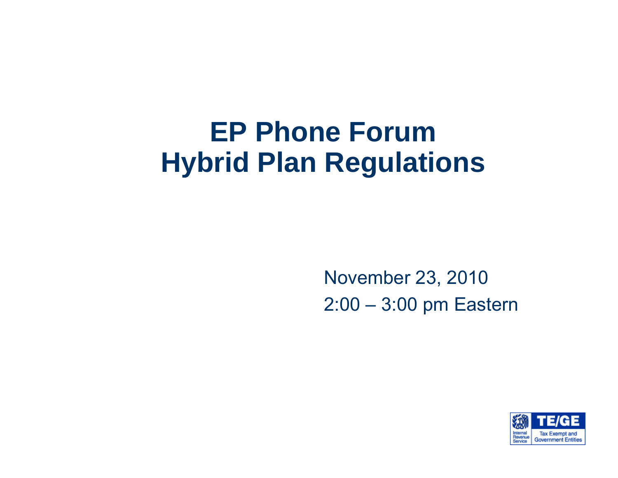#### **EP Phone Forum Hybrid Plan Regulations**

November 23, 2010 2:00 – 3:00 pm Eastern

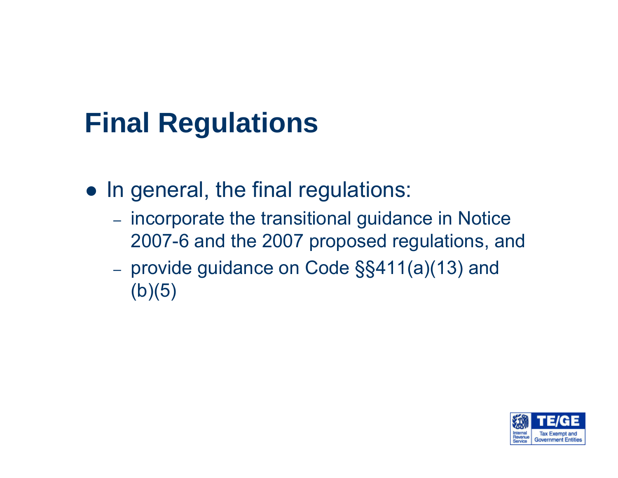## **Final Regulations**

- $\bullet\,$  In general, the final regulations:
	- incorporate the transitional guidance in Notice 2007-6 and the 2007 proposed regulations, and
	- provide guidance on Code §§411(a)(13) and  $(b)(5)$

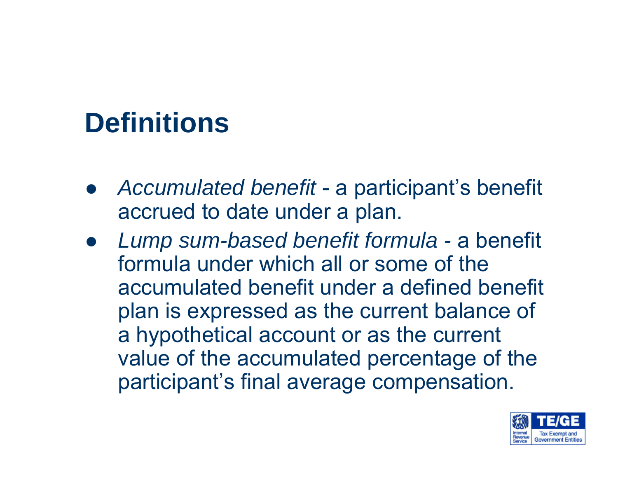# **Definitions**

- $\bullet$  *Accumulated benefit* - a participant's benefit accrued to date under a plan.
- $\bullet$  *Lump sum-based benefit formula -* a benefit formula under which all or some of the accumulated benefit under a defined benefit plan is expressed as the current balance of a hypothetical account or as the current value of the accumulated percentage of the participant's final average compensation.

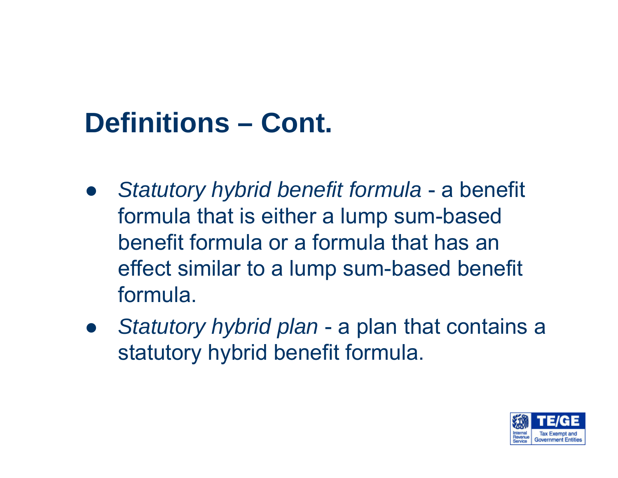# **Definitions – Cont.**

- $\bullet$  *Statutory hybrid benefit formula* - a benefit formula that is either a lump sum-based benefit formula or a formula that has an effect similar to a lump sum-based benefit formula.
- $\bullet$  *Statutory hybrid plan* - a plan that contains a statutory hybrid benefit formula.

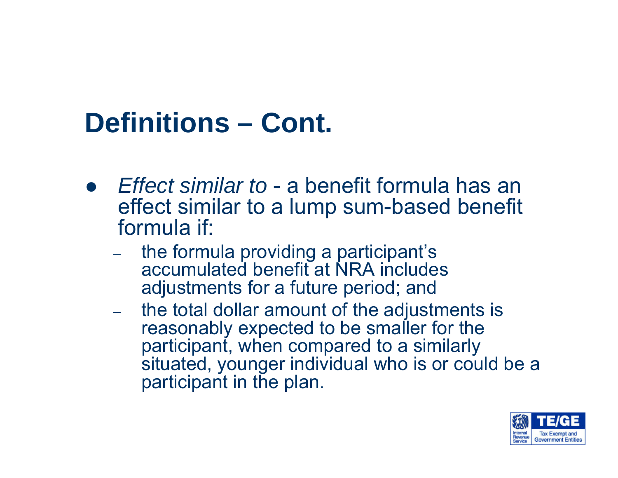## **Definitions – Cont.**

- **•** *Effect similar to a benefit formula has an* effect similar to a lump sum-based benefit formula if:
	- the formula providing a participant's accumulated benefit at NRA includes adjustments for a future period; and
	- the total dollar amount of the adjustments is reasonably expected to be smaller for the participant, when compared to a similarly situated, younger individual who is or could be a participant in the plan.

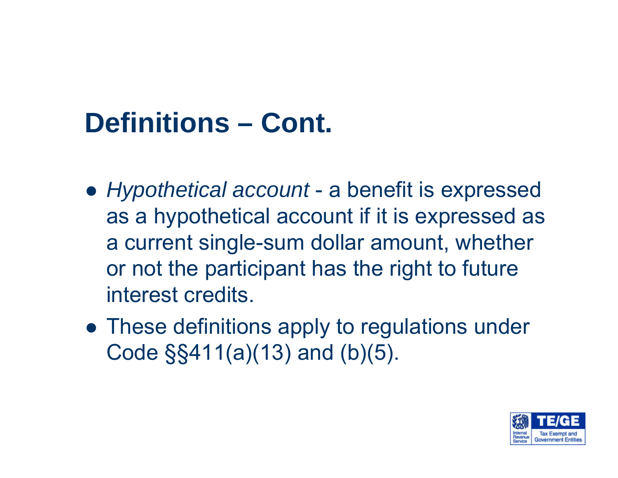# **Definitions – Cont.**

- $\bullet$  *Hypothetical account* a benefit is expressed as a hypothetical account if it is expressed as a current single-sum dollar amount, whether or not the participant has the right to future interest credits.
- $\bullet$  These definitions apply to regulations under Code §§411(a)(13) and (b)(5).

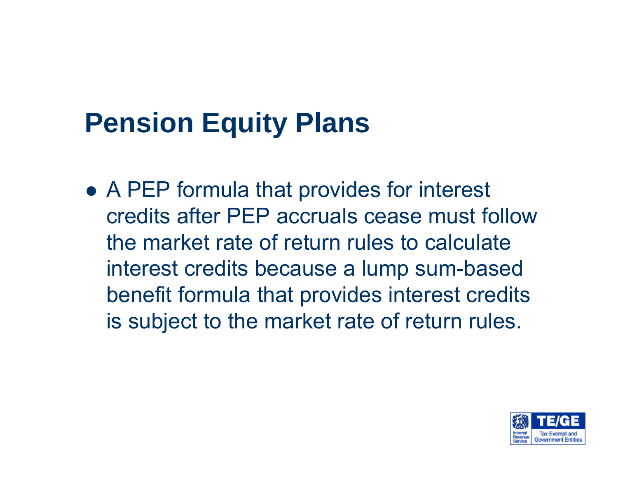# **Pension Equity Plans**

 $\bullet$  A PEP formula that provides for interest credits after PEP accruals cease must follow the market rate of return rules to calculate interest credits because a lump sum-based benefit formula that provides interest credits is subject to the market rate of return rules.

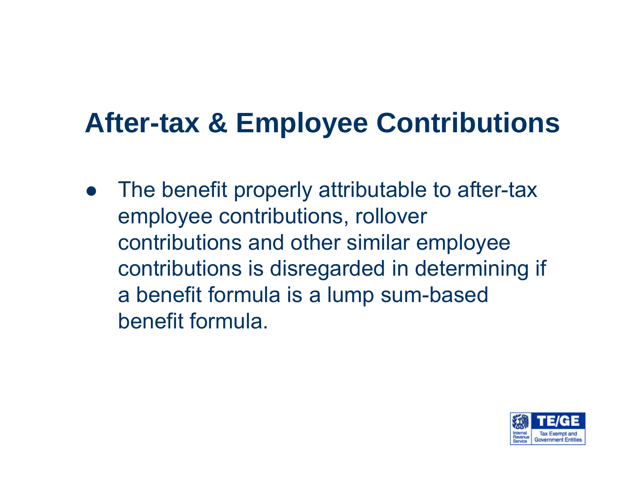## **After-tax & Employee Contributions**

 $\bullet$  The benefit properly attributable to after-tax employee contributions, rollover contributions and other similar employee contributions is disregarded in determining if a benefit formula is a lump sum-based benefit formula.

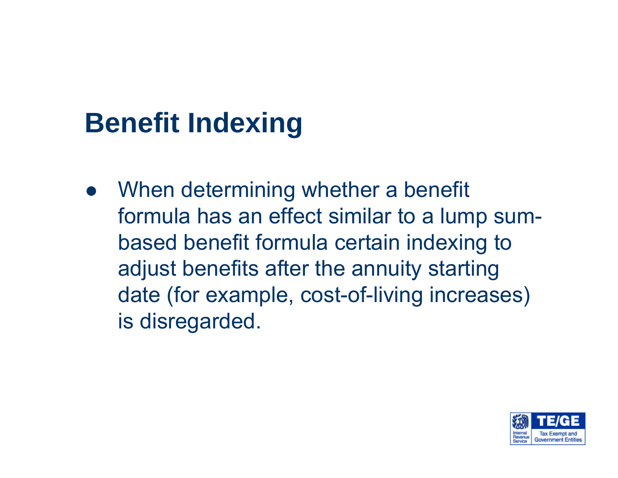# **Benefit Indexing**

 $\bullet$  When determining whether a benefit formula has an effect similar to a lump sumbased benefit formula certain indexing to adjust benefits after the annuity starting date (for example, cost-of-living increases) is disregarded.

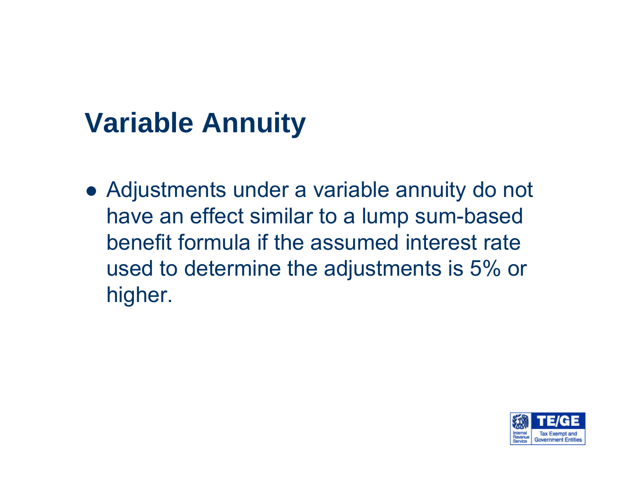# **Variable Annuity**

 $\bullet$  Adjustments under a variable annuity do not have an effect similar to a lump sum-based benefit formula if the assumed interest rate used to determine the adjustments is 5% or higher.

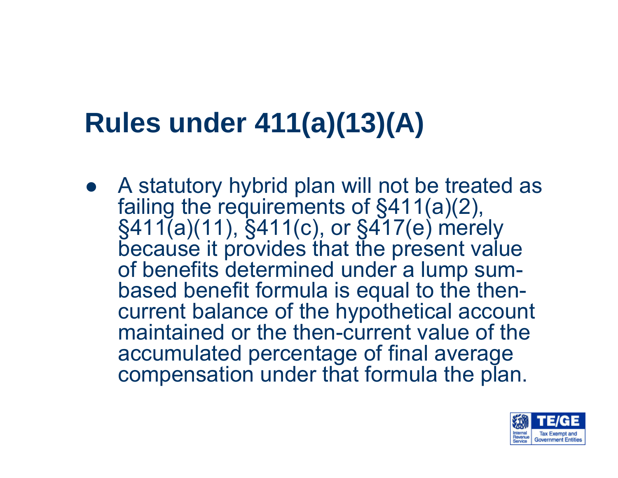# **Rules under 411(a)(13)(A)**

 $\bullet$  A statutory hybrid plan will not be treated as failing the requirements of §411(a)(2), §411(a)(11), §411(c), or §417(e) merely because it provides that the present value of benefits determined under a lump sumbased benefit formula is equal to the thencurrent balance of the hypothetical account maintained or the then-current value of the accumulated percentage of final average compensation under that formula the plan.

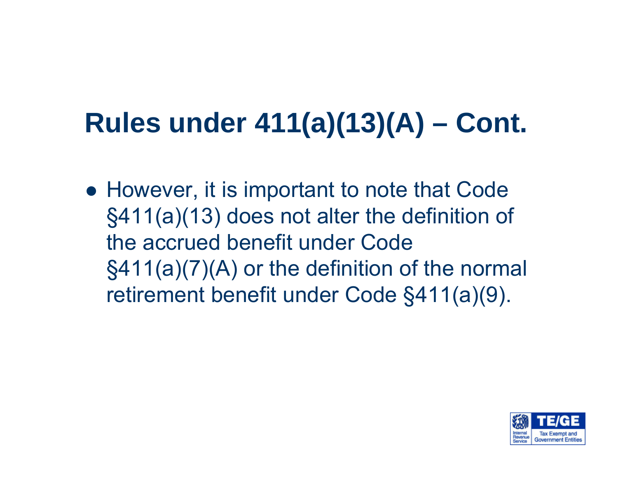# **Rules under 411(a)(13)(A) – Cont.**

 $\bullet$  However, it is important to note that Code §411(a)(13) does not alter the definition of the accrued benefit under Code §411(a)(7)(A) or the definition of the normal retirement benefit under Code §411(a)(9).

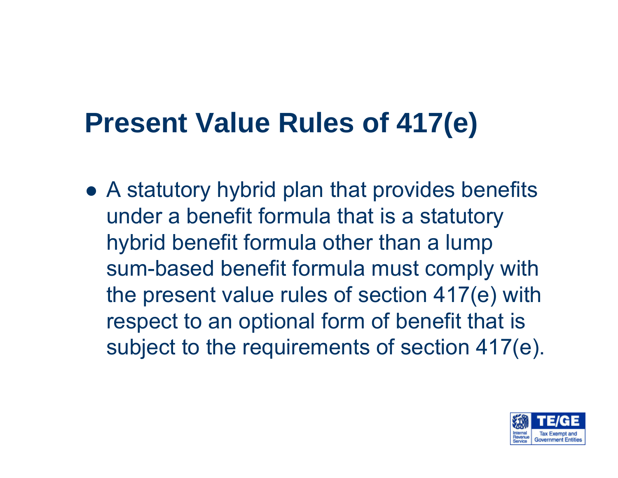## **Present Value Rules of 417(e)**

 $\bullet$  A statutory hybrid plan that provides benefits under a benefit formula that is a statutory hybrid benefit formula other than a lump sum-based benefit formula must comply with the present value rules of section 417(e) with respect to an optional form of benefit that is subject to the requirements of section 417(e).

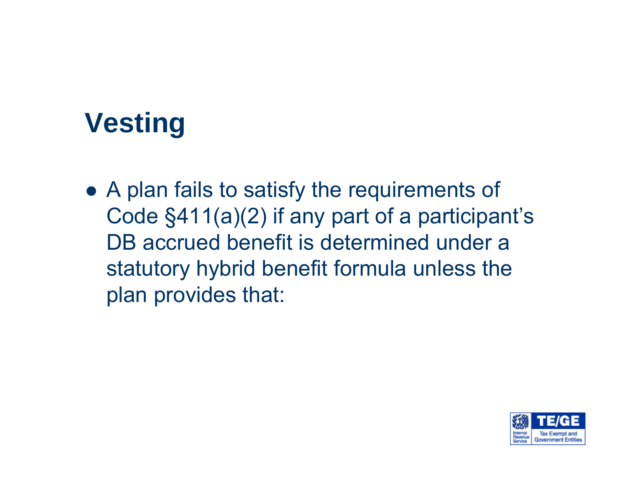# **Vesting**

 $\bullet$  A plan fails to satisfy the requirements of Code §411(a)(2) if any part of a participant's DB accrued benefit is determined under a statutory hybrid benefit formula unless the plan provides that:

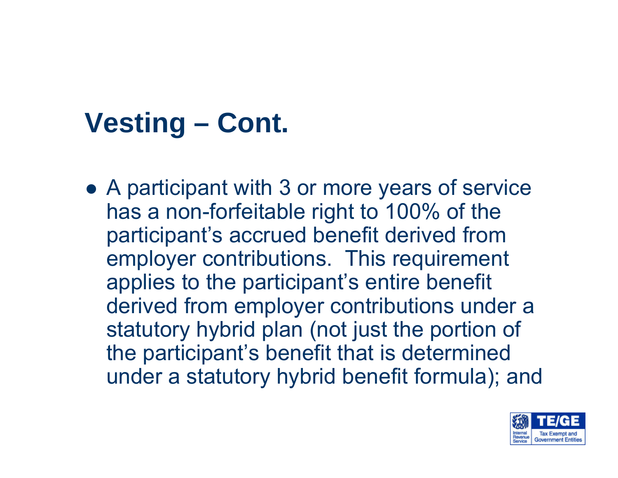## **Vesting – Cont.**

 $\bullet$  A participant with 3 or more years of service has a non-forfeitable right to 100% of the participant's accrued benefit derived from employer contributions. This requirement applies to the participant's entire benefit derived from employer contributions under a statutory hybrid plan (not just the portion of the participant's benefit that is determined under a statutory hybrid benefit formula); and

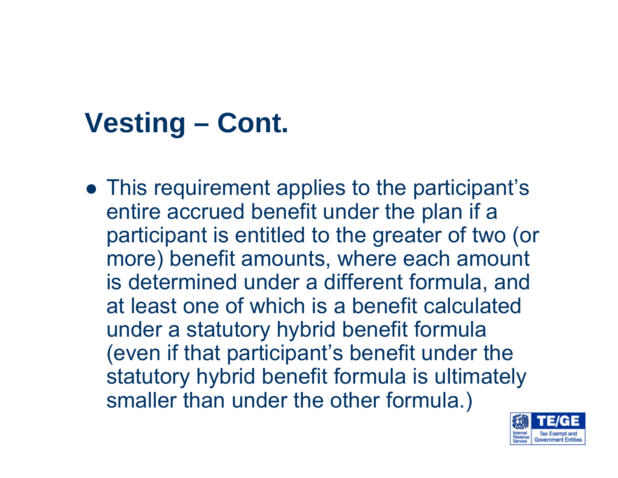## **Vesting – Cont.**

 $\bullet\,$  This requirement applies to the participant's entire accrued benefit under the plan if a participant is entitled to the greater of two (or more) benefit amounts, where each amount is determined under a different formula, and at least one of which is a benefit calculated under a statutory hybrid benefit formula (even if that participant's benefit under the statutory hybrid benefit formula is ultimately smaller than under the other formula.)

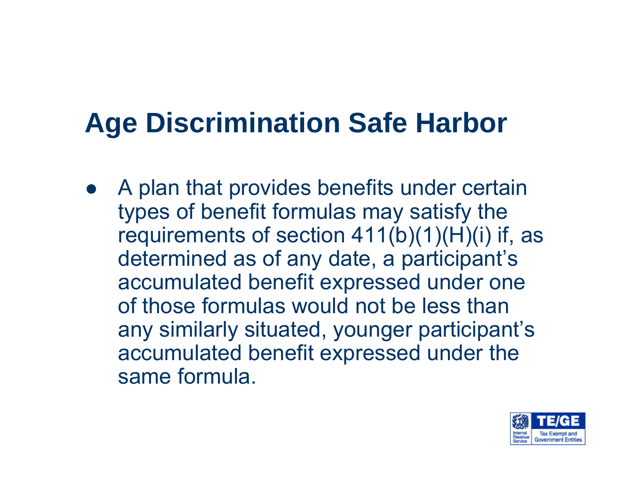# **Age Discrimination Safe Harbor**

 $\bullet$  A plan that provides benefits under certain types of benefit formulas may satisfy the requirements of section  $411(b)(1)(H)(i)$  if, as determined as of any date, a participant's accumulated benefit expressed under one of those formulas would not be less than any similarly situated, younger participant's accumulated benefit expressed under the same formula.

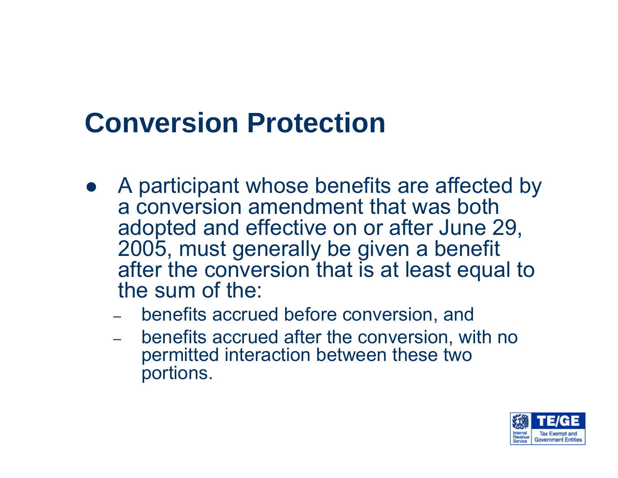## **Conversion Protection**

- A participant whose benefits are affected by a conversion amendment that was both adopted and effective on or after June 29, 2005, must generally be given a benefit after the conversion that is at least equal to the sum of the:
	- benefits accrued before conversion, and
	- benefits accrued after the conversion, with no permitted interaction between these two portions.

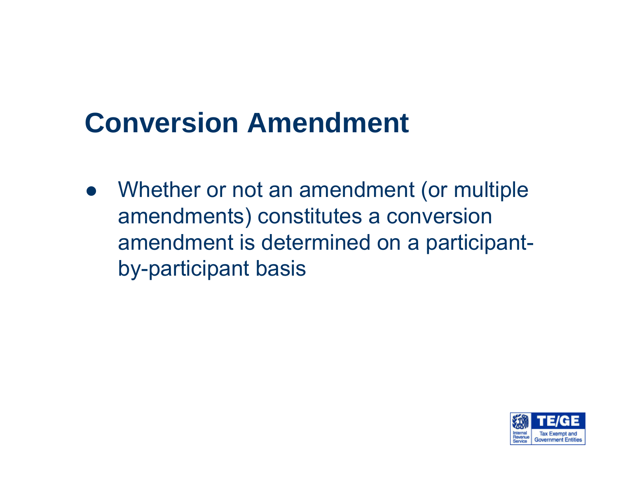## **Conversion Amendment**

 $\bullet$  Whether or not an amendment (or multiple amendments) constitutes a conversion amendment is determined on a participantby-participant basis

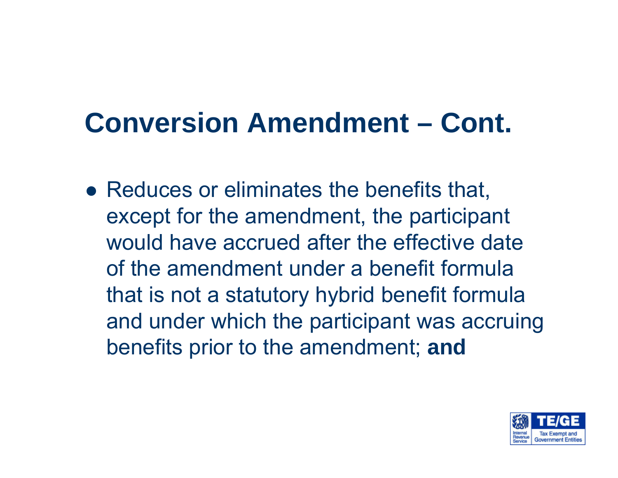### **Conversion Amendment – Cont.**

 $\bullet$  Reduces or eliminates the benefits that, except for the amendment, the participant would have accrued after the effective date of the amendment under a benefit formula that is not a statutory hybrid benefit formula and under which the participant was accruing benefits prior to the amendment; **and** 

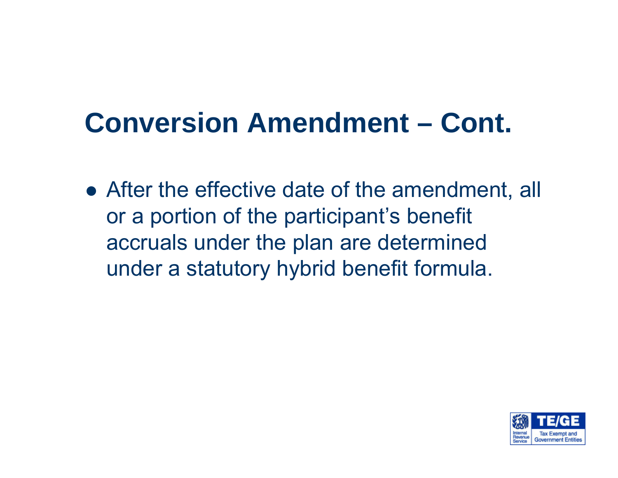#### **Conversion Amendment – Cont.**

 $\bullet$  After the effective date of the amendment, all or a portion of the participant's benefit accruals under the plan are determined under a statutory hybrid benefit formula.

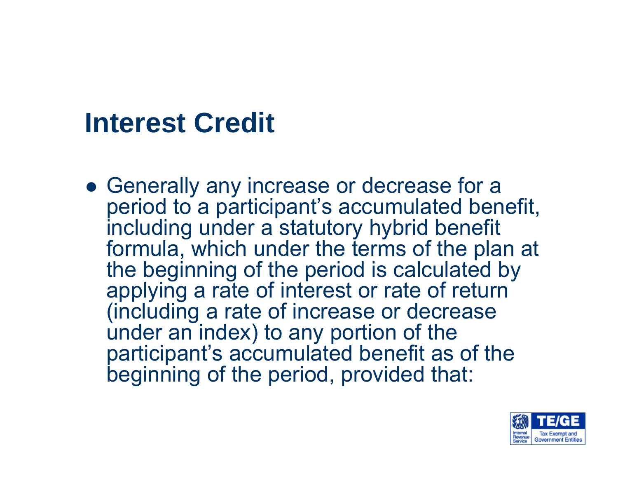#### **Interest Credit**

**• Generally any increase or decrease for a** period to a participant's accumulated benefit, including under a statutory hybrid benefit formula, which under the terms of the plan at the beginning of the period is calculated by applying a rate of interest or rate of return (including a rate of increase or decrease under an index) to any portion of the participant's accumulated benefit as of the beginning of the period, provided that:

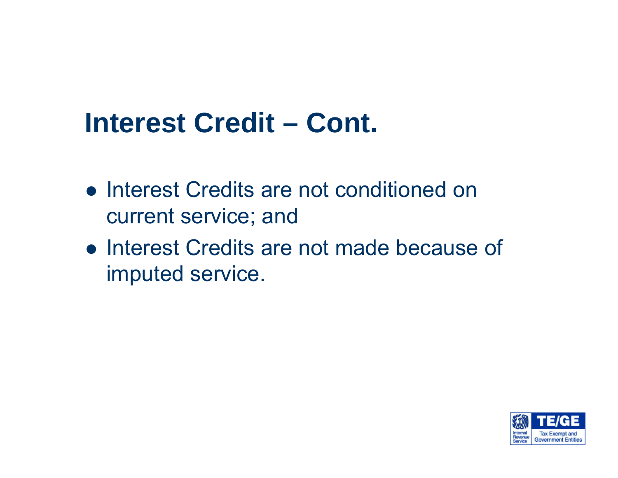#### **Interest Credit – Cont.**

- **Interest Credits are not conditioned on** current service; and
- **Interest Credits are not made because of** imputed service.

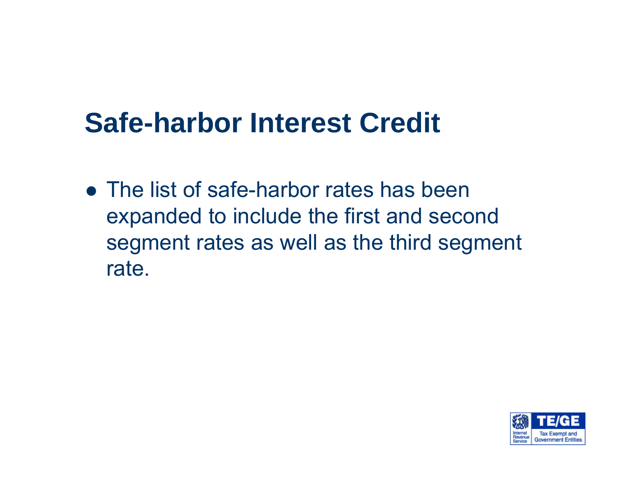#### **Safe-harbor Interest Credit**

 $\bullet$  The list of safe-harbor rates has been expanded to include the first and second segment rates as well as the third segment rate.

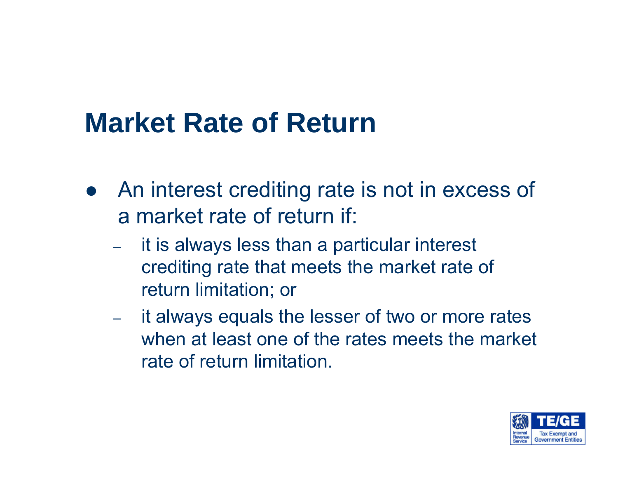- An interest crediting rate is not in excess of a market rate of return if:
	- – it is always less than a particular interest crediting rate that meets the market rate of return limitation; or
	- it always equals the lesser of two or more rates when at least one of the rates meets the market rate of return limitation.

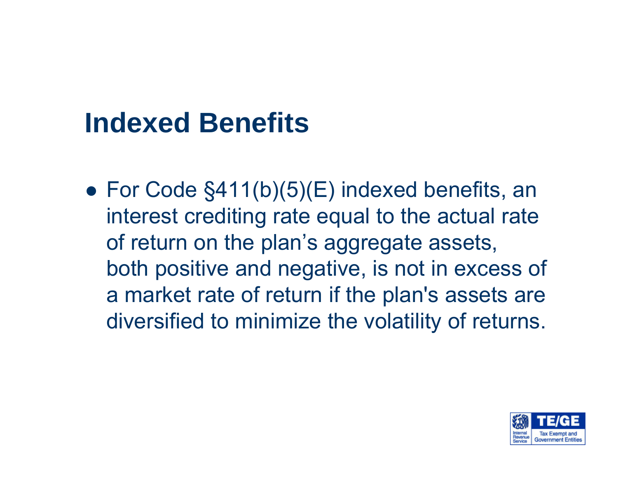#### **Indexed Benefits**

 $\bullet\,$  For Code §411(b)(5)(E) indexed benefits, an interest crediting rate equal to the actual rate of return on the plan's aggregate assets, both positive and negative, is not in excess of a market rate of return if the plan's assets are diversified to minimize the volatility of returns.

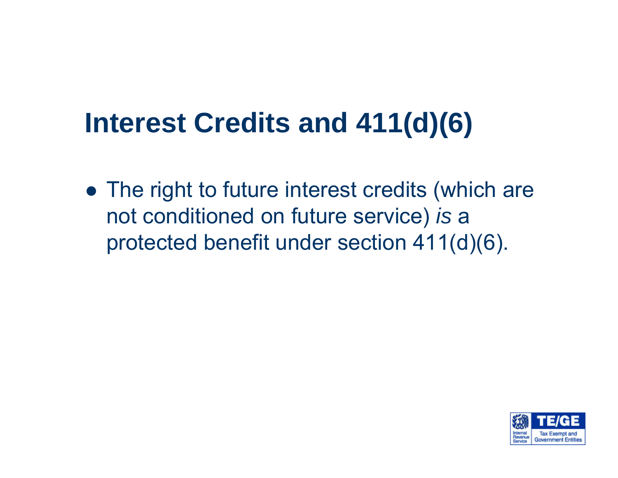## **Interest Credits and 411(d)(6)**

 $\bullet$  The right to future interest credits (which are not conditioned on future service) *is* <sup>a</sup> protected benefit under section 411(d)(6).

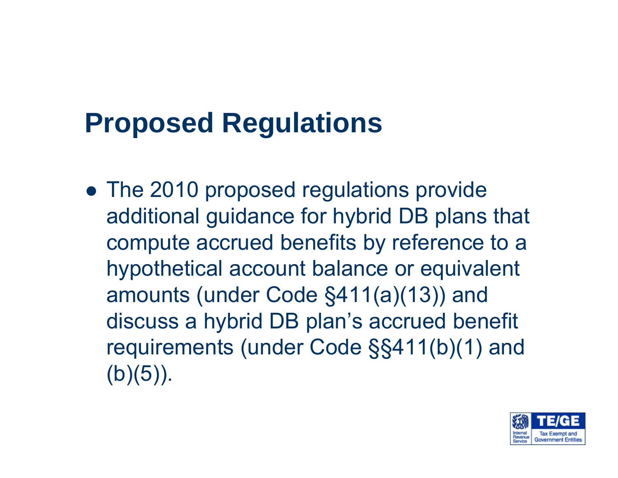## **Proposed Regulations**

 $\bullet$  The 2010 proposed regulations provide additional guidance for hybrid DB plans that compute accrued benefits by reference to a hypothetical account balance or equivalent amounts (under Code §411(a)(13)) and discuss a hybrid DB plan's accrued benefit requirements (under Code §§411(b)(1) and  $(b)(5)$ ).

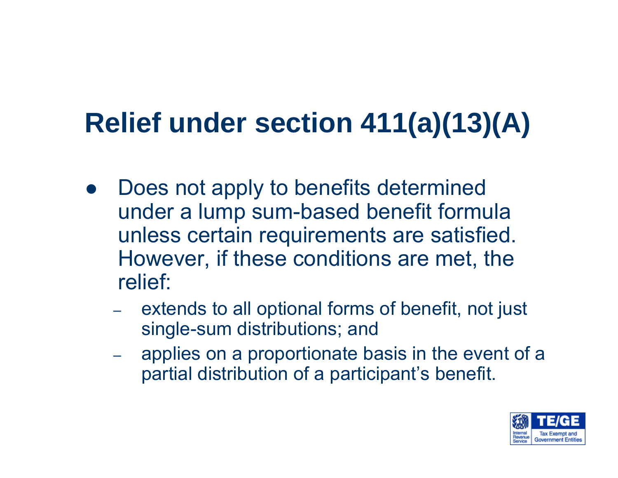# **Relief under section 411(a)(13)(A)**

- $\bullet$  Does not apply to benefits determined under a lump sum-based benefit formula unless certain requirements are satisfied. However, if these conditions are met, the relief:
	- extends to all optional forms of benefit, not just single-sum distributions; and
	- applies on a proportionate basis in the event of a partial distribution of a participant's benefit.

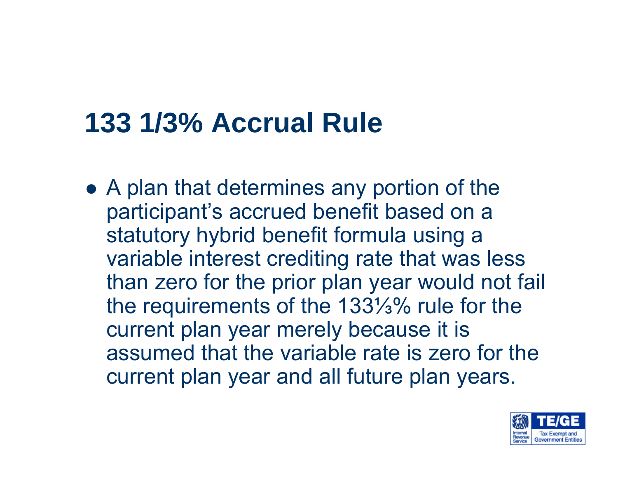## **133 1/3% Accrual Rule**

 $\bullet$  A plan that determines any portion of the participant's accrued benefit based on a statutory hybrid benefit formula using a variable interest crediting rate that was less than zero for the prior plan year would not fail the requirements of the 133⅓% rule for the current plan year merely because it is assumed that the variable rate is zero for the current plan year and all future plan years.

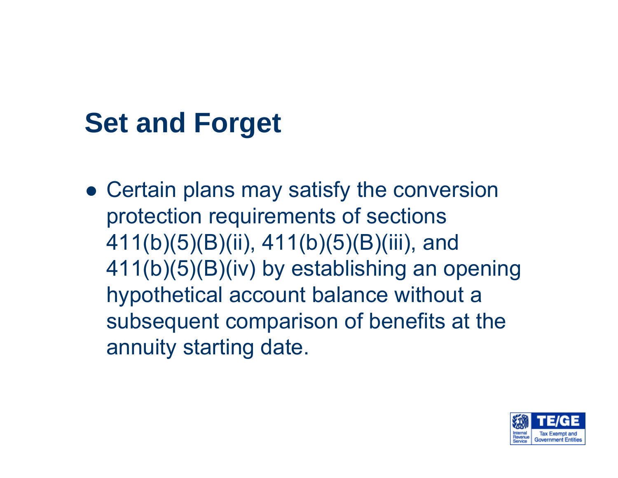## **Set and Forget**

 $\bullet\,$  Certain plans may satisfy the conversion protection requirements of sections 411(b)(5)(B)(ii), 411(b)(5)(B)(iii), and 411(b)(5)(B)(iv) by establishing an opening hypothetical account balance without a subsequent comparison of benefits at the annuity starting date.

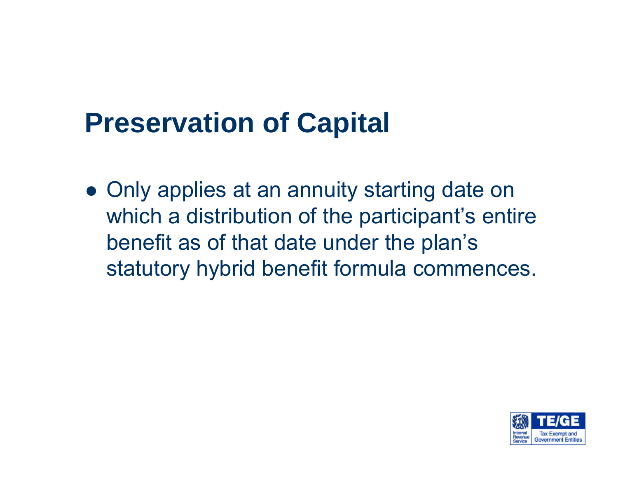## **Preservation of Capital**

 $\bullet$  Only applies at an annuity starting date on which a distribution of the participant's entire benefit as of that date under the plan's statutory hybrid benefit formula commences.

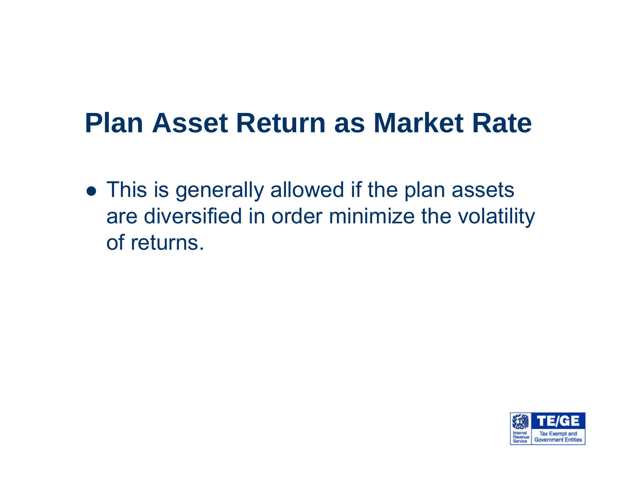#### **Plan Asset Return as Market Rate**

 $\bullet$  This is generally allowed if the plan assets are diversified in order minimize the volatility of returns.

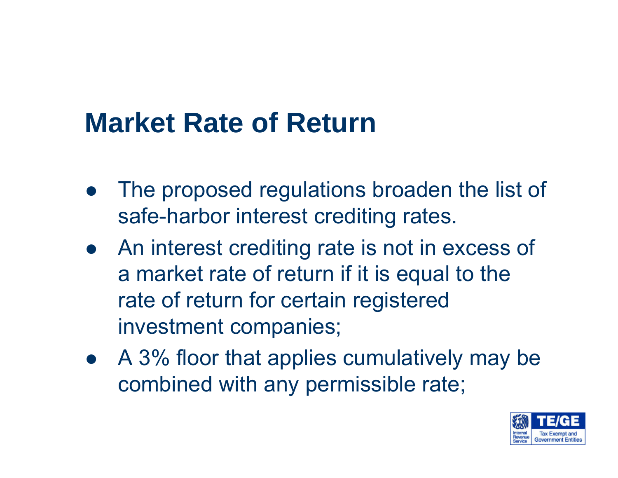- The proposed regulations broaden the list of safe-harbor interest crediting rates.
- An interest crediting rate is not in excess of a market rate of return if it is equal to the rate of return for certain registered investment companies;
- A 3% floor that applies cumulatively may be combined with any permissible rate;

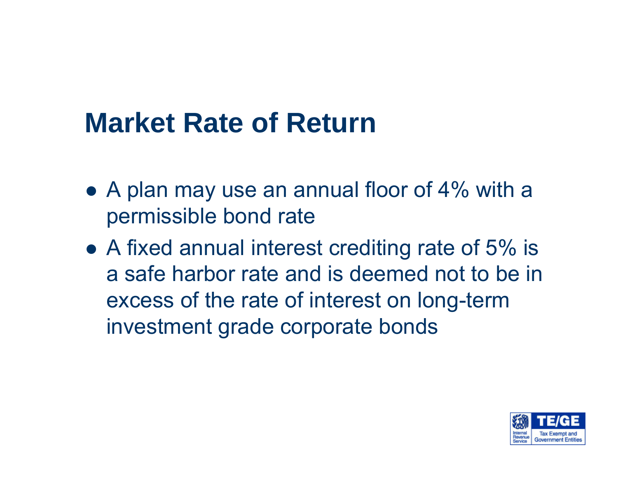- $\bullet$  A plan may use an annual floor of 4% with a permissible bond rate
- $\bullet$  A fixed annual interest crediting rate of 5% is a safe harbor rate and is deemed not to be in excess of the rate of interest on long-term investment grade corporate bonds